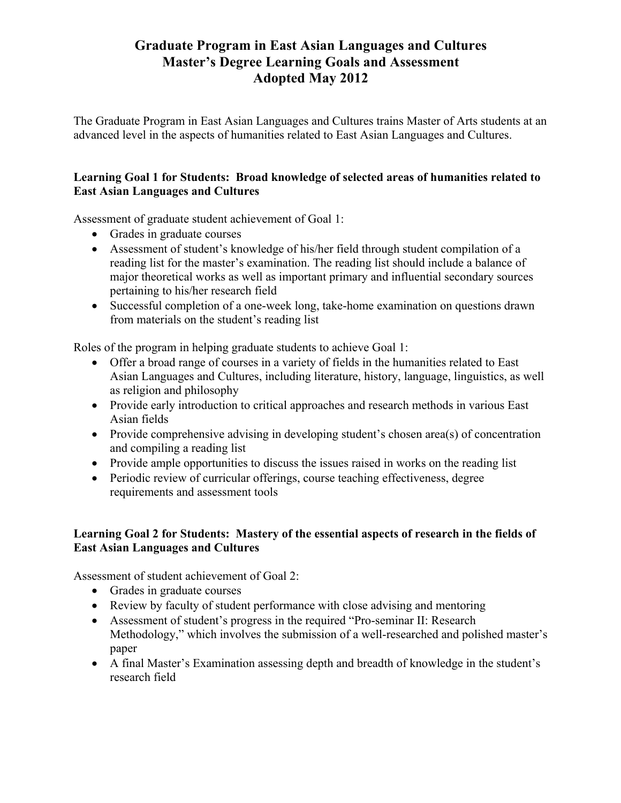## **Graduate Program in East Asian Languages and Cultures Master's Degree Learning Goals and Assessment Adopted May 2012**

The Graduate Program in East Asian Languages and Cultures trains Master of Arts students at an advanced level in the aspects of humanities related to East Asian Languages and Cultures.

## **Learning Goal 1 for Students: Broad knowledge of selected areas of humanities related to East Asian Languages and Cultures**

Assessment of graduate student achievement of Goal 1:

- Grades in graduate courses
- Assessment of student's knowledge of his/her field through student compilation of a reading list for the master's examination. The reading list should include a balance of major theoretical works as well as important primary and influential secondary sources pertaining to his/her research field
- Successful completion of a one-week long, take-home examination on questions drawn from materials on the student's reading list

Roles of the program in helping graduate students to achieve Goal 1:

- Offer a broad range of courses in a variety of fields in the humanities related to East Asian Languages and Cultures, including literature, history, language, linguistics, as well as religion and philosophy
- Provide early introduction to critical approaches and research methods in various East Asian fields
- Provide comprehensive advising in developing student's chosen area(s) of concentration and compiling a reading list
- Provide ample opportunities to discuss the issues raised in works on the reading list
- Periodic review of curricular offerings, course teaching effectiveness, degree requirements and assessment tools

## **Learning Goal 2 for Students: Mastery of the essential aspects of research in the fields of East Asian Languages and Cultures**

Assessment of student achievement of Goal 2:

- Grades in graduate courses
- Review by faculty of student performance with close advising and mentoring
- Assessment of student's progress in the required "Pro-seminar II: Research Methodology," which involves the submission of a well-researched and polished master's paper
- A final Master's Examination assessing depth and breadth of knowledge in the student's research field